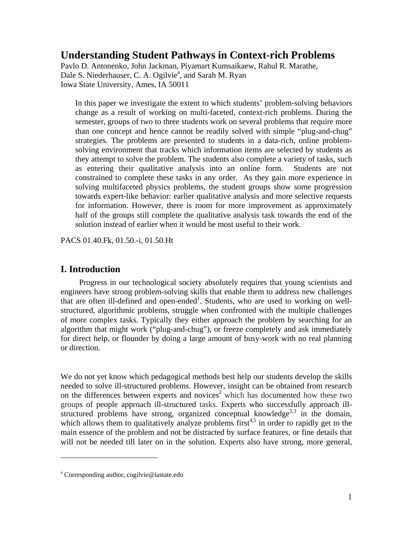# **Understanding Student Pathways in Context-rich Problems**

Pavlo D. Antonenko, John Jackman, Piyamart Kumsaikaew, Rahul R. Marathe, Dale S. Niederhauser, C. A. Ogilvie<sup>a</sup>, and Sarah M. Ryan Iowa State University, Ames, IA 50011

In this paper we investigate the extent to which students' problem-solving behaviors change as a result of working on multi-faceted, context-rich problems. During the semester, groups of two to three students work on several problems that require more than one concept and hence cannot be readily solved with simple "plug-and-chug" strategies. The problems are presented to students in a data-rich, online problemsolving environment that tracks which information items are selected by students as they attempt to solve the problem. The students also complete a variety of tasks, such as entering their qualitative analysis into an online form. Students are not constrained to complete these tasks in any order. As they gain more experience in solving multifaceted physics problems, the student groups show some progression towards expert-like behavior: earlier qualitative analysis and more selective requests for information. However, there is room for more improvement as approximately half of the groups still complete the qualitative analysis task towards the end of the solution instead of earlier when it would be most useful to their work.

PACS 01.40.Fk, 01.50.-i, 01.50.Ht

## **I. Introduction**

Progress in our technological society absolutely requires that young scientists and engineers have strong problem-solving skills that enable them to address new challenges that are often ill-defined and open-ended<sup>1</sup>. Students, who are used to working on wellstructured, algorithmic problems, struggle when confronted with the multiple challenges of more complex tasks. Typically they either approach the problem by searching for an algorithm that might work ("plug-and-chug"), or freeze completely and ask immediately for direct help, or flounder by doing a large amount of busy-work with no real planning or direction.

We do not yet know which pedagogical methods best help our students develop the skills needed to solve ill-structured problems. However, insight can be obtained from research on the differences between experts and novices<sup>2</sup> which has documented how these two groups of people approach ill-structured tasks. Experts who successfully approach illstructured problems have strong, organized conceptual knowledge<sup>2,3</sup> in the domain, which allows them to qualitatively analyze problems first<sup>4,5</sup> in order to rapidly get to the main essence of the problem and not be distracted by surface features, or fine details that will not be needed till later on in the solution. Experts also have strong, more general,

 $\overline{a}$ 

a Corresponding author, cogilvie@iastate.edu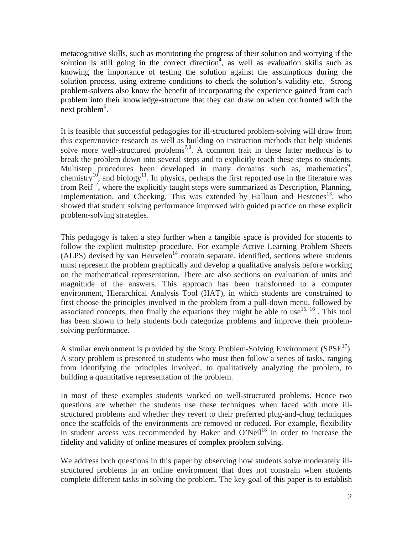metacognitive skills, such as monitoring the progress of their solution and worrying if the solution is still going in the correct direction<sup>4</sup>, as well as evaluation skills such as knowing the importance of testing the solution against the assumptions during the solution process, using extreme conditions to check the solution's validity etc. Strong problem-solvers also know the benefit of incorporating the experience gained from each problem into their knowledge-structure that they can draw on when confronted with the  $\frac{1}{2}$  next problem<sup>6</sup>.

It is feasible that successful pedagogies for ill-structured problem-solving will draw from this expert/novice research as well as building on instruction methods that help students solve more well-structured problems<sup>7,8</sup>. A common trait in these latter methods is to break the problem down into several steps and to explicitly teach these steps to students. Multistep procedures been developed in many domains such as, mathematics<sup>9</sup>, chemistry<sup>10</sup>, and biology<sup>11</sup>. In physics, perhaps the first reported use in the literature was from  $\text{Reif}^{12}$ , where the explicitly taught steps were summarized as Description, Planning, Implementation, and Checking. This was extended by Halloun and Hestenes<sup>13</sup>, who showed that student solving performance improved with guided practice on these explicit problem-solving strategies.

This pedagogy is taken a step further when a tangible space is provided for students to follow the explicit multistep procedure. For example Active Learning Problem Sheets  $(ALPS)$  devised by van Heuvelen<sup>14</sup> contain separate, identified, sections where students must represent the problem graphically and develop a qualitative analysis before working on the mathematical representation. There are also sections on evaluation of units and magnitude of the answers. This approach has been transformed to a computer environment, Hierarchical Analysis Tool (HAT), in which students are constrained to first choose the principles involved in the problem from a pull-down menu, followed by associated concepts, then finally the equations they might be able to use  $^{15, 16}$ . This tool has been shown to help students both categorize problems and improve their problemsolving performance.

A similar environment is provided by the Story Problem-Solving Environment ( $S P S E<sup>17</sup>$ ). A story problem is presented to students who must then follow a series of tasks, ranging from identifying the principles involved, to qualitatively analyzing the problem, to building a quantitative representation of the problem.

In most of these examples students worked on well-structured problems. Hence two questions are whether the students use these techniques when faced with more illstructured problems and whether they revert to their preferred plug-and-chug techniques once the scaffolds of the environments are removed or reduced. For example, flexibility in student access was recommended by Baker and O'Neil<sup>18</sup> in order to increase the fidelity and validity of online measures of complex problem solving.

We address both questions in this paper by observing how students solve moderately illstructured problems in an online environment that does not constrain when students complete different tasks in solving the problem. The key goal of this paper is to establish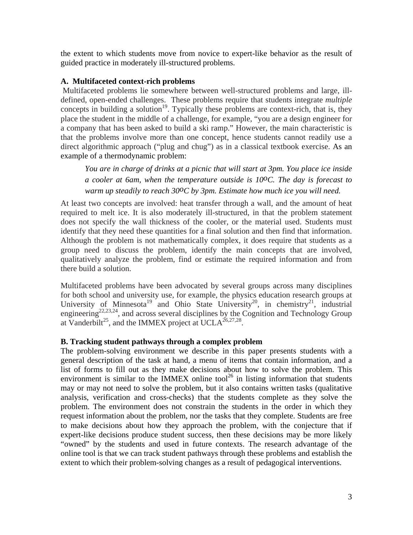the extent to which students move from novice to expert-like behavior as the result of guided practice in moderately ill-structured problems.

### **A. Multifaceted context-rich problems**

 Multifaceted problems lie somewhere between well-structured problems and large, illdefined, open-ended challenges. These problems require that students integrate *multiple*  concepts in building a solution<sup>19</sup>. Typically these problems are context-rich, that is, they place the student in the middle of a challenge, for example, "you are a design engineer for a company that has been asked to build a ski ramp." However, the main characteristic is that the problems involve more than one concept, hence students cannot readily use a direct algorithmic approach ("plug and chug") as in a classical textbook exercise. As an example of a thermodynamic problem:

*You are in charge of drinks at a picnic that will start at 3pm. You place ice inside a cooler at 6am, when the temperature outside is 10oC. The day is forecast to warm up steadily to reach 30oC by 3pm. Estimate how much ice you will need.* 

At least two concepts are involved: heat transfer through a wall, and the amount of heat required to melt ice. It is also moderately ill-structured, in that the problem statement does not specify the wall thickness of the cooler, or the material used. Students must identify that they need these quantities for a final solution and then find that information. Although the problem is not mathematically complex, it does require that students as a group need to discuss the problem, identify the main concepts that are involved, qualitatively analyze the problem, find or estimate the required information and from there build a solution.

Multifaceted problems have been advocated by several groups across many disciplines for both school and university use, for example, the physics education research groups at University of Minnesota<sup>19</sup> and Ohio State University<sup>20</sup>, in chemistry<sup>21</sup>, industrial engineering<sup>22,23,24</sup>, and across several disciplines by the Cognition and Technology Group at Vanderbilt<sup>25</sup>, and the IMMEX project at UCLA<sup>26,27,28</sup>.

## **B. Tracking student pathways through a complex problem**

The problem-solving environment we describe in this paper presents students with a general description of the task at hand, a menu of items that contain information, and a list of forms to fill out as they make decisions about how to solve the problem. This environment is similar to the IMMEX online tool<sup>26</sup> in listing information that students may or may not need to solve the problem, but it also contains written tasks (qualitative analysis, verification and cross-checks) that the students complete as they solve the problem. The environment does not constrain the students in the order in which they request information about the problem, nor the tasks that they complete. Students are free to make decisions about how they approach the problem, with the conjecture that if expert-like decisions produce student success, then these decisions may be more likely "owned" by the students and used in future contexts. The research advantage of the online tool is that we can track student pathways through these problems and establish the extent to which their problem-solving changes as a result of pedagogical interventions.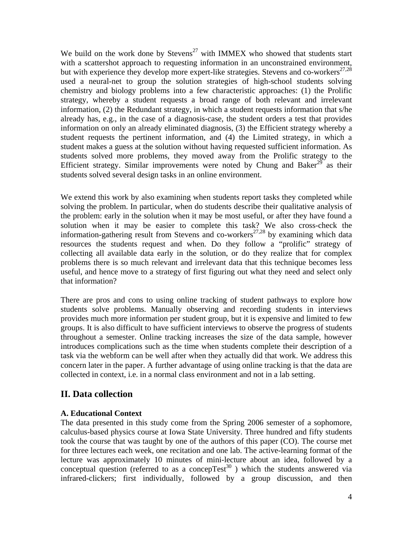We build on the work done by Stevens<sup>27</sup> with IMMEX who showed that students start with a scattershot approach to requesting information in an unconstrained environment, but with experience they develop more expert-like strategies. Stevens and co-workers<sup>27,28</sup> used a neural-net to group the solution strategies of high-school students solving chemistry and biology problems into a few characteristic approaches: (1) the Prolific strategy, whereby a student requests a broad range of both relevant and irrelevant information, (2) the Redundant strategy, in which a student requests information that s/he already has, e.g., in the case of a diagnosis-case, the student orders a test that provides information on only an already eliminated diagnosis, (3) the Efficient strategy whereby a student requests the pertinent information, and (4) the Limited strategy, in which a student makes a guess at the solution without having requested sufficient information. As students solved more problems, they moved away from the Prolific strategy to the Efficient strategy. Similar improvements were noted by Chung and Baker<sup>29</sup> as their students solved several design tasks in an online environment.

We extend this work by also examining when students report tasks they completed while solving the problem. In particular, when do students describe their qualitative analysis of the problem: early in the solution when it may be most useful, or after they have found a solution when it may be easier to complete this task? We also cross-check the information-gathering result from Stevens and co-workers<sup>27,28</sup> by examining which data resources the students request and when. Do they follow a "prolific" strategy of collecting all available data early in the solution, or do they realize that for complex problems there is so much relevant and irrelevant data that this technique becomes less useful, and hence move to a strategy of first figuring out what they need and select only that information?

There are pros and cons to using online tracking of student pathways to explore how students solve problems. Manually observing and recording students in interviews provides much more information per student group, but it is expensive and limited to few groups. It is also difficult to have sufficient interviews to observe the progress of students throughout a semester. Online tracking increases the size of the data sample, however introduces complications such as the time when students complete their description of a task via the webform can be well after when they actually did that work. We address this concern later in the paper. A further advantage of using online tracking is that the data are collected in context, i.e. in a normal class environment and not in a lab setting.

# **II. Data collection**

## **A. Educational Context**

The data presented in this study come from the Spring 2006 semester of a sophomore, calculus-based physics course at Iowa State University. Three hundred and fifty students took the course that was taught by one of the authors of this paper (CO). The course met for three lectures each week, one recitation and one lab. The active-learning format of the lecture was approximately 10 minutes of mini-lecture about an idea, followed by a conceptual question (referred to as a concep $Test^{30}$ ) which the students answered via infrared-clickers; first individually, followed by a group discussion, and then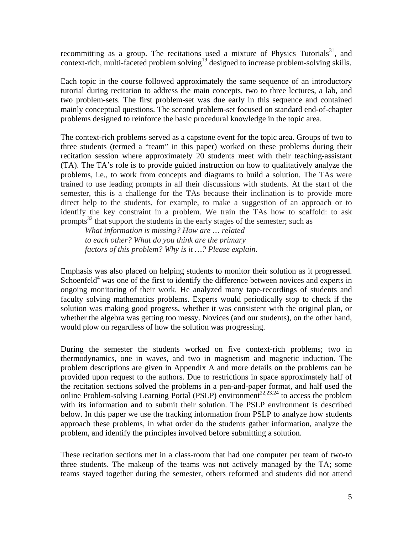recommitting as a group. The recitations used a mixture of Physics Tutorials<sup>31</sup>, and context-rich, multi-faceted problem solving<sup>19</sup> designed to increase problem-solving skills.

Each topic in the course followed approximately the same sequence of an introductory tutorial during recitation to address the main concepts, two to three lectures, a lab, and two problem-sets. The first problem-set was due early in this sequence and contained mainly conceptual questions. The second problem-set focused on standard end-of-chapter problems designed to reinforce the basic procedural knowledge in the topic area.

The context-rich problems served as a capstone event for the topic area. Groups of two to three students (termed a "team" in this paper) worked on these problems during their recitation session where approximately 20 students meet with their teaching-assistant (TA). The TA's role is to provide guided instruction on how to qualitatively analyze the problems, i.e., to work from concepts and diagrams to build a solution. The TAs were trained to use leading prompts in all their discussions with students. At the start of the semester, this is a challenge for the TAs because their inclination is to provide more direct help to the students, for example, to make a suggestion of an approach or to identify the key constraint in a problem. We train the TAs how to scaffold: to ask prompts<sup>32</sup> that support the students in the early stages of the semester; such as

*What information is missing? How are … related to each other? What do you think are the primary factors of this problem? Why is it …? Please explain.* 

Emphasis was also placed on helping students to monitor their solution as it progressed. Schoenfeld<sup>4</sup> was one of the first to identify the difference between novices and experts in ongoing monitoring of their work. He analyzed many tape-recordings of students and faculty solving mathematics problems. Experts would periodically stop to check if the solution was making good progress, whether it was consistent with the original plan, or whether the algebra was getting too messy. Novices (and our students), on the other hand, would plow on regardless of how the solution was progressing.

During the semester the students worked on five context-rich problems; two in thermodynamics, one in waves, and two in magnetism and magnetic induction. The problem descriptions are given in Appendix A and more details on the problems can be provided upon request to the authors. Due to restrictions in space approximately half of the recitation sections solved the problems in a pen-and-paper format, and half used the online Problem-solving Learning Portal (PSLP) environment<sup>22,23,24</sup> to access the problem with its information and to submit their solution. The PSLP environment is described below. In this paper we use the tracking information from PSLP to analyze how students approach these problems, in what order do the students gather information, analyze the problem, and identify the principles involved before submitting a solution.

These recitation sections met in a class-room that had one computer per team of two-to three students. The makeup of the teams was not actively managed by the TA; some teams stayed together during the semester, others reformed and students did not attend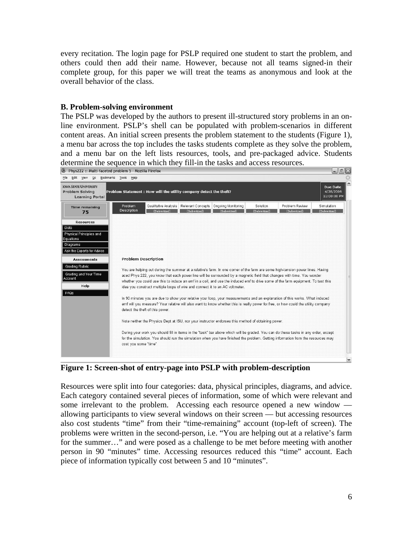every recitation. The login page for PSLP required one student to start the problem, and others could then add their name. However, because not all teams signed-in their complete group, for this paper we will treat the teams as anonymous and look at the overall behavior of the class.

#### **B. Problem-solving environment**

The PSLP was developed by the authors to present ill-structured story problems in an online environment. PSLP's shell can be populated with problem-scenarios in different content areas. An initial screen presents the problem statement to the students (Figure 1), a menu bar across the top includes the tasks students complete as they solve the problem, and a menu bar on the left lists resources, tools, and pre-packaged advice. Students determine the sequence in which they fill-in the tasks and access resources.<br> $\bullet$  Phys222 :: Multi-faceted problem 5 - Mozilla Firefox



**Figure 1: Screen-shot of entry-page into PSLP with problem-description** 

Resources were split into four categories: data, physical principles, diagrams, and advice. Each category contained several pieces of information, some of which were relevant and some irrelevant to the problem. Accessing each resource opened a new window allowing participants to view several windows on their screen — but accessing resources also cost students "time" from their "time-remaining" account (top-left of screen). The problems were written in the second-person, i.e. "You are helping out at a relative's farm for the summer…" and were posed as a challenge to be met before meeting with another person in 90 "minutes" time. Accessing resources reduced this "time" account. Each piece of information typically cost between 5 and 10 "minutes".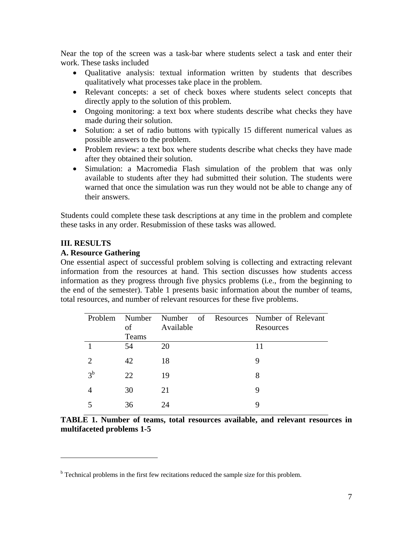Near the top of the screen was a task-bar where students select a task and enter their work. These tasks included

- Qualitative analysis: textual information written by students that describes qualitatively what processes take place in the problem.
- Relevant concepts: a set of check boxes where students select concepts that directly apply to the solution of this problem.
- Ongoing monitoring: a text box where students describe what checks they have made during their solution.
- Solution: a set of radio buttons with typically 15 different numerical values as possible answers to the problem.
- Problem review: a text box where students describe what checks they have made after they obtained their solution.
- Simulation: a Macromedia Flash simulation of the problem that was only available to students after they had submitted their solution. The students were warned that once the simulation was run they would not be able to change any of their answers.

Students could complete these task descriptions at any time in the problem and complete these tasks in any order. Resubmission of these tasks was allowed.

## **III. RESULTS**

 $\overline{a}$ 

### **A. Resource Gathering**

One essential aspect of successful problem solving is collecting and extracting relevant information from the resources at hand. This section discusses how students access information as they progress through five physics problems (i.e., from the beginning to the end of the semester). Table 1 presents basic information about the number of teams, total resources, and number of relevant resources for these five problems.

| Problem     | Number<br>of | Available | Number of Resources Number of Relevant<br>Resources |
|-------------|--------------|-----------|-----------------------------------------------------|
|             | Teams        |           |                                                     |
|             | 54           | 20        | 11                                                  |
| 2           | 42           | 18        | 9                                                   |
| $3^{\rm b}$ | 22           | 19        | 8                                                   |
|             | 30           | 21        | 9                                                   |
|             | 36           | 24        | 9                                                   |

**TABLE 1. Number of teams, total resources available, and relevant resources in multifaceted problems 1-5** 

<sup>&</sup>lt;sup>b</sup> Technical problems in the first few recitations reduced the sample size for this problem.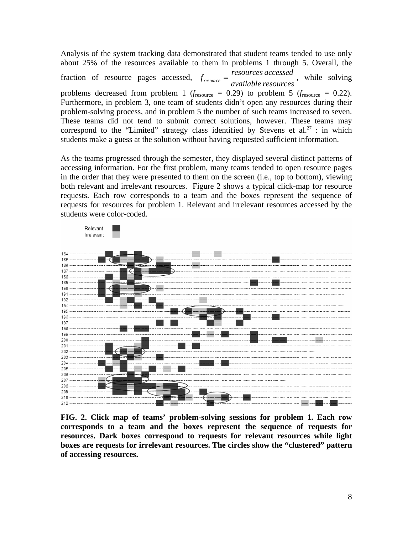Analysis of the system tracking data demonstrated that student teams tended to use only about 25% of the resources available to them in problems 1 through 5. Overall, the fraction of resource pages accessed,  $f_{resource} = \frac{resources\,accessed}{available\, resources}$ , while solving problems decreased from problem 1 ( $f_{\text{resource}} = 0.29$ ) to problem 5 ( $f_{\text{resource}} = 0.22$ ). Furthermore, in problem 3, one team of students didn't open any resources during their problem-solving process, and in problem 5 the number of such teams increased to seven. These teams did not tend to submit correct solutions, however. These teams may correspond to the "Limited" strategy class identified by Stevens et al.<sup>27</sup> : in which students make a guess at the solution without having requested sufficient information.

As the teams progressed through the semester, they displayed several distinct patterns of accessing information. For the first problem, many teams tended to open resource pages in the order that they were presented to them on the screen (i.e., top to bottom), viewing both relevant and irrelevant resources. Figure 2 shows a typical click-map for resource requests. Each row corresponds to a team and the boxes represent the sequence of requests for resources for problem 1. Relevant and irrelevant resources accessed by the students were color-coded.



**FIG. 2. Click map of teams' problem-solving sessions for problem 1. Each row corresponds to a team and the boxes represent the sequence of requests for resources. Dark boxes correspond to requests for relevant resources while light boxes are requests for irrelevant resources. The circles show the "clustered" pattern of accessing resources.**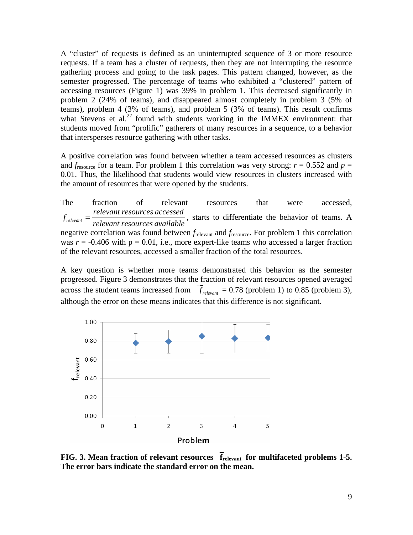A "cluster" of requests is defined as an uninterrupted sequence of 3 or more resource requests. If a team has a cluster of requests, then they are not interrupting the resource gathering process and going to the task pages. This pattern changed, however, as the semester progressed. The percentage of teams who exhibited a "clustered" pattern of accessing resources (Figure 1) was 39% in problem 1. This decreased significantly in problem 2 (24% of teams), and disappeared almost completely in problem 3 (5% of teams), problem 4 (3% of teams), and problem 5 (3% of teams). This result confirms what Stevens et al.<sup>27</sup> found with students working in the IMMEX environment: that students moved from "prolific" gatherers of many resources in a sequence, to a behavior that intersperses resource gathering with other tasks.

A positive correlation was found between whether a team accessed resources as clusters and  $f_{\text{resource}}$  for a team. For problem 1 this correlation was very strong:  $r = 0.552$  and  $p =$ 0.01. Thus, the likelihood that students would view resources in clusters increased with the amount of resources that were opened by the students.

The fraction of relevant resources that were accessed,  $f_{relevant} =$   $\frac{relevant\ resources\ accessed}{relevant\ resources\ available}$ , starts to differentiate the behavior of teams. A negative correlation was found between *f*relevant and *f*resource. For problem 1 this correlation was  $r = -0.406$  with  $p = 0.01$ , i.e., more expert-like teams who accessed a larger fraction of the relevant resources, accessed a smaller fraction of the total resources.

A key question is whether more teams demonstrated this behavior as the semester progressed. Figure 3 demonstrates that the fraction of relevant resources opened averaged across the student teams increased from  $\bar{f}_{relevant} = 0.78$  (problem 1) to 0.85 (problem 3), although the error on these means indicates that this difference is not significant.



**FIG. 3. Mean fraction of relevant resources**  $\vec{f}_{relevant}$  **for multifaceted problems 1-5. The error bars indicate the standard error on the mean.**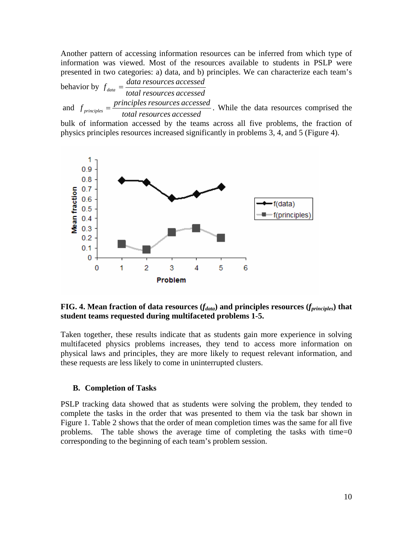Another pattern of accessing information resources can be inferred from which type of information was viewed. Most of the resources available to students in PSLP were presented in two categories: a) data, and b) principles. We can characterize each team's

behavior by  $f_{data} = \frac{data \, \,resources \, accessed}{total \, \,resources \, accessed}$ 

 and  $f_{principles} = \frac{principles \, resources \, accessed}{total \, resources \, accessed}$ . While the data resources comprised the

bulk of information accessed by the teams across all five problems, the fraction of physics principles resources increased significantly in problems 3, 4, and 5 (Figure 4).



**FIG. 4. Mean fraction of data resources (** $f_{data}$ **) and principles resources (** $f_{principles}$ **) that student teams requested during multifaceted problems 1-5.** 

Taken together, these results indicate that as students gain more experience in solving multifaceted physics problems increases, they tend to access more information on physical laws and principles, they are more likely to request relevant information, and these requests are less likely to come in uninterrupted clusters.

#### **B. Completion of Tasks**

PSLP tracking data showed that as students were solving the problem, they tended to complete the tasks in the order that was presented to them via the task bar shown in Figure 1. Table 2 shows that the order of mean completion times was the same for all five problems. The table shows the average time of completing the tasks with time=0 corresponding to the beginning of each team's problem session.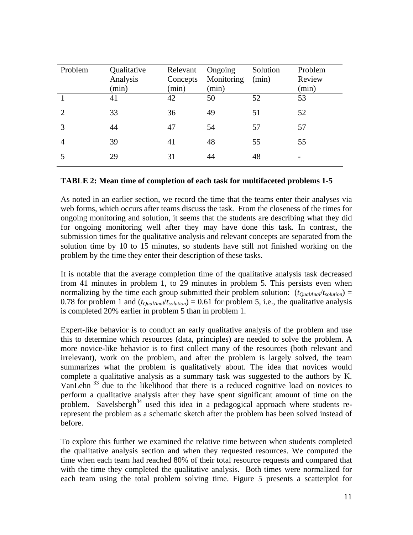| Problem        | Qualitative<br>Analysis<br>(min) | Relevant<br>Concepts<br>(min) | Ongoing<br>Monitoring<br>(min) | Solution<br>(min) | Problem<br>Review<br>(min) |
|----------------|----------------------------------|-------------------------------|--------------------------------|-------------------|----------------------------|
|                | 41                               | 42                            | 50                             | 52                | 53                         |
| $\overline{2}$ | 33                               | 36                            | 49                             | 51                | 52                         |
| 3              | 44                               | 47                            | 54                             | 57                | 57                         |
| $\overline{4}$ | 39                               | 41                            | 48                             | 55                | 55                         |
|                | 29                               | 31                            | 44                             | 48                |                            |

#### **TABLE 2: Mean time of completion of each task for multifaceted problems 1-5**

As noted in an earlier section, we record the time that the teams enter their analyses via web forms, which occurs after teams discuss the task. From the closeness of the times for ongoing monitoring and solution, it seems that the students are describing what they did for ongoing monitoring well after they may have done this task. In contrast, the submission times for the qualitative analysis and relevant concepts are separated from the solution time by 10 to 15 minutes, so students have still not finished working on the problem by the time they enter their description of these tasks.

It is notable that the average completion time of the qualitative analysis task decreased from 41 minutes in problem 1, to 29 minutes in problem 5. This persists even when normalizing by the time each group submitted their problem solution:  $(t_{\text{OualAnal}}/t_{\text{solution}})$  = 0.78 for problem 1 and  $(t_{\text{QualAnal}}/t_{\text{solution}}) = 0.61$  for problem 5, i.e., the qualitative analysis is completed 20% earlier in problem 5 than in problem 1.

Expert-like behavior is to conduct an early qualitative analysis of the problem and use this to determine which resources (data, principles) are needed to solve the problem. A more novice-like behavior is to first collect many of the resources (both relevant and irrelevant), work on the problem, and after the problem is largely solved, the team summarizes what the problem is qualitatively about. The idea that novices would complete a qualitative analysis as a summary task was suggested to the authors by K. VanLehn 33 due to the likelihood that there is a reduced cognitive load on novices to perform a qualitative analysis after they have spent significant amount of time on the problem. Savelsbergh<sup>34</sup> used this idea in a pedagogical approach where students rerepresent the problem as a schematic sketch after the problem has been solved instead of before.

To explore this further we examined the relative time between when students completed the qualitative analysis section and when they requested resources. We computed the time when each team had reached 80% of their total resource requests and compared that with the time they completed the qualitative analysis. Both times were normalized for each team using the total problem solving time. Figure 5 presents a scatterplot for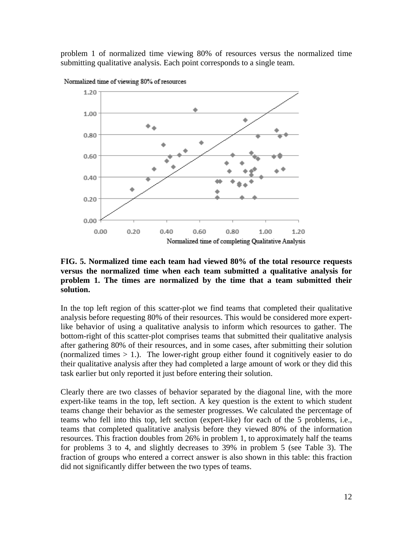problem 1 of normalized time viewing 80% of resources versus the normalized time submitting qualitative analysis. Each point corresponds to a single team.



Normalized time of viewing 80% of resources

#### **FIG. 5. Normalized time each team had viewed 80% of the total resource requests versus the normalized time when each team submitted a qualitative analysis for problem 1. The times are normalized by the time that a team submitted their solution.**

In the top left region of this scatter-plot we find teams that completed their qualitative analysis before requesting 80% of their resources. This would be considered more expertlike behavior of using a qualitative analysis to inform which resources to gather. The bottom-right of this scatter-plot comprises teams that submitted their qualitative analysis after gathering 80% of their resources, and in some cases, after submitting their solution (normalized times  $> 1$ .). The lower-right group either found it cognitively easier to do their qualitative analysis after they had completed a large amount of work or they did this task earlier but only reported it just before entering their solution.

Clearly there are two classes of behavior separated by the diagonal line, with the more expert-like teams in the top, left section. A key question is the extent to which student teams change their behavior as the semester progresses. We calculated the percentage of teams who fell into this top, left section (expert-like) for each of the 5 problems, i.e., teams that completed qualitative analysis before they viewed 80% of the information resources. This fraction doubles from 26% in problem 1, to approximately half the teams for problems 3 to 4, and slightly decreases to 39% in problem 5 (see Table 3). The fraction of groups who entered a correct answer is also shown in this table: this fraction did not significantly differ between the two types of teams.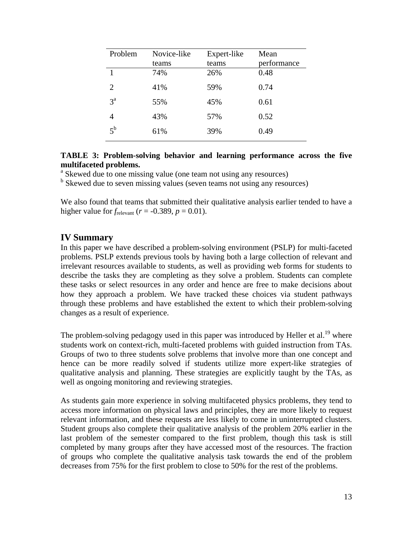| Problem     | Novice-like<br>teams | Expert-like<br>teams | Mean<br>performance |
|-------------|----------------------|----------------------|---------------------|
| 1           | 74%                  | 26%                  | 0.48                |
| 2           | 41%                  | 59%                  | 0.74                |
| $3^{\rm a}$ | 55%                  | 45%                  | 0.61                |
| 4           | 43%                  | 57%                  | 0.52                |
| $5^{\rm b}$ | 61%                  | 39%                  | 0.49                |

#### **TABLE 3: Problem-solving behavior and learning performance across the five multifaceted problems.**

<sup>a</sup> Skewed due to one missing value (one team not using any resources)

<sup>b</sup> Skewed due to seven missing values (seven teams not using any resources)

We also found that teams that submitted their qualitative analysis earlier tended to have a higher value for  $f_{\text{relevant}}$  ( $r = -0.389$ ,  $p = 0.01$ ).

# **IV Summary**

In this paper we have described a problem-solving environment (PSLP) for multi-faceted problems. PSLP extends previous tools by having both a large collection of relevant and irrelevant resources available to students, as well as providing web forms for students to describe the tasks they are completing as they solve a problem. Students can complete these tasks or select resources in any order and hence are free to make decisions about how they approach a problem. We have tracked these choices via student pathways through these problems and have established the extent to which their problem-solving changes as a result of experience.

The problem-solving pedagogy used in this paper was introduced by Heller et al.<sup>19</sup> where students work on context-rich, multi-faceted problems with guided instruction from TAs. Groups of two to three students solve problems that involve more than one concept and hence can be more readily solved if students utilize more expert-like strategies of qualitative analysis and planning. These strategies are explicitly taught by the TAs, as well as ongoing monitoring and reviewing strategies.

As students gain more experience in solving multifaceted physics problems, they tend to access more information on physical laws and principles, they are more likely to request relevant information, and these requests are less likely to come in uninterrupted clusters. Student groups also complete their qualitative analysis of the problem 20% earlier in the last problem of the semester compared to the first problem, though this task is still completed by many groups after they have accessed most of the resources. The fraction of groups who complete the qualitative analysis task towards the end of the problem decreases from 75% for the first problem to close to 50% for the rest of the problems.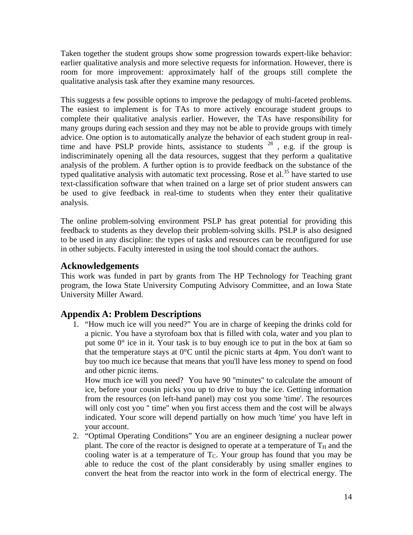Taken together the student groups show some progression towards expert-like behavior: earlier qualitative analysis and more selective requests for information. However, there is room for more improvement: approximately half of the groups still complete the qualitative analysis task after they examine many resources.

This suggests a few possible options to improve the pedagogy of multi-faceted problems. The easiest to implement is for TAs to more actively encourage student groups to complete their qualitative analysis earlier. However, the TAs have responsibility for many groups during each session and they may not be able to provide groups with timely advice. One option is to automatically analyze the behavior of each student group in realtime and have PSLP provide hints, assistance to students  $28$ , e.g. if the group is indiscriminately opening all the data resources, suggest that they perform a qualitative analysis of the problem. A further option is to provide feedback on the substance of the typed qualitative analysis with automatic text processing. Rose et al.<sup>35</sup> have started to use text-classification software that when trained on a large set of prior student answers can be used to give feedback in real-time to students when they enter their qualitative analysis.

The online problem-solving environment PSLP has great potential for providing this feedback to students as they develop their problem-solving skills. PSLP is also designed to be used in any discipline: the types of tasks and resources can be reconfigured for use in other subjects. Faculty interested in using the tool should contact the authors.

# **Acknowledgements**

This work was funded in part by grants from The HP Technology for Teaching grant program, the Iowa State University Computing Advisory Committee, and an Iowa State University Miller Award.

# **Appendix A: Problem Descriptions**

1. "How much ice will you need?" You are in charge of keeping the drinks cold for a picnic. You have a styrofoam box that is filled with cola, water and you plan to put some 0° ice in it. Your task is to buy enough ice to put in the box at 6am so that the temperature stays at  $0^{\circ}$ C until the picnic starts at 4pm. You don't want to buy too much ice because that means that you'll have less money to spend on food and other picnic items.

How much ice will you need? You have 90 ''minutes'' to calculate the amount of ice, before your cousin picks you up to drive to buy the ice. Getting information from the resources (on left-hand panel) may cost you some 'time'. The resources will only cost you " time" when you first access them and the cost will be always indicated. Your score will depend partially on how much 'time' you have left in your account.

2. "Optimal Operating Conditions" You are an engineer designing a nuclear power plant. The core of the reactor is designed to operate at a temperature of  $T_H$  and the cooling water is at a temperature of  $T_c$ . Your group has found that you may be able to reduce the cost of the plant considerably by using smaller engines to convert the heat from the reactor into work in the form of electrical energy. The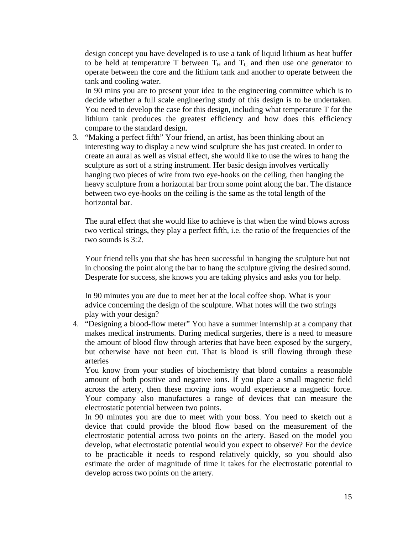design concept you have developed is to use a tank of liquid lithium as heat buffer to be held at temperature T between  $T_H$  and  $T_C$  and then use one generator to operate between the core and the lithium tank and another to operate between the tank and cooling water.

In 90 mins you are to present your idea to the engineering committee which is to decide whether a full scale engineering study of this design is to be undertaken. You need to develop the case for this design, including what temperature T for the lithium tank produces the greatest efficiency and how does this efficiency compare to the standard design.

3. "Making a perfect fifth" Your friend, an artist, has been thinking about an interesting way to display a new wind sculpture she has just created. In order to create an aural as well as visual effect, she would like to use the wires to hang the sculpture as sort of a string instrument. Her basic design involves vertically hanging two pieces of wire from two eye-hooks on the ceiling, then hanging the heavy sculpture from a horizontal bar from some point along the bar. The distance between two eye-hooks on the ceiling is the same as the total length of the horizontal bar.

The aural effect that she would like to achieve is that when the wind blows across two vertical strings, they play a perfect fifth, i.e. the ratio of the frequencies of the two sounds is 3:2.

Your friend tells you that she has been successful in hanging the sculpture but not in choosing the point along the bar to hang the sculpture giving the desired sound. Desperate for success, she knows you are taking physics and asks you for help.

In 90 minutes you are due to meet her at the local coffee shop. What is your advice concerning the design of the sculpture. What notes will the two strings play with your design?

4. "Designing a blood-flow meter" You have a summer internship at a company that makes medical instruments. During medical surgeries, there is a need to measure the amount of blood flow through arteries that have been exposed by the surgery, but otherwise have not been cut. That is blood is still flowing through these arteries

You know from your studies of biochemistry that blood contains a reasonable amount of both positive and negative ions. If you place a small magnetic field across the artery, then these moving ions would experience a magnetic force. Your company also manufactures a range of devices that can measure the electrostatic potential between two points.

In 90 minutes you are due to meet with your boss. You need to sketch out a device that could provide the blood flow based on the measurement of the electrostatic potential across two points on the artery. Based on the model you develop, what electrostatic potential would you expect to observe? For the device to be practicable it needs to respond relatively quickly, so you should also estimate the order of magnitude of time it takes for the electrostatic potential to develop across two points on the artery.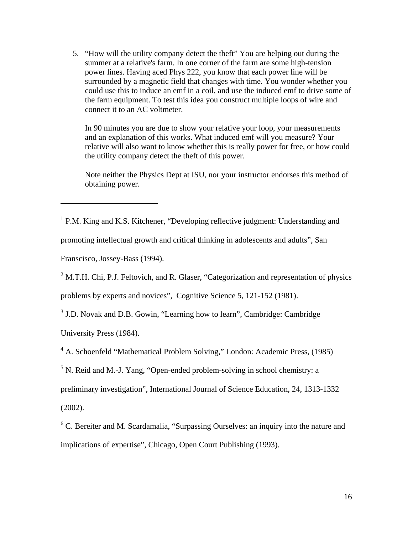5. "How will the utility company detect the theft" You are helping out during the summer at a relative's farm. In one corner of the farm are some high-tension power lines. Having aced Phys 222, you know that each power line will be surrounded by a magnetic field that changes with time. You wonder whether you could use this to induce an emf in a coil, and use the induced emf to drive some of the farm equipment. To test this idea you construct multiple loops of wire and connect it to an AC voltmeter.

In 90 minutes you are due to show your relative your loop, your measurements and an explanation of this works. What induced emf will you measure? Your relative will also want to know whether this is really power for free, or how could the utility company detect the theft of this power.

Note neither the Physics Dept at ISU, nor your instructor endorses this method of obtaining power.

<sup>1</sup> P.M. King and K.S. Kitchener, "Developing reflective judgment: Understanding and

promoting intellectual growth and critical thinking in adolescents and adults", San

Franscisco, Jossey-Bass (1994).

<sup>2</sup> M.T.H. Chi, P.J. Feltovich, and R. Glaser, "Categorization and representation of physics

problems by experts and novices", Cognitive Science 5, 121-152 (1981).

<sup>3</sup> J.D. Novak and D.B. Gowin, "Learning how to learn", Cambridge: Cambridge

University Press (1984).

<sup>4</sup> A. Schoenfeld "Mathematical Problem Solving," London: Academic Press, (1985)

<sup>5</sup> N. Reid and M.-J. Yang, "Open-ended problem-solving in school chemistry: a

preliminary investigation", International Journal of Science Education, 24, 1313-1332

(2002).

1

<sup>6</sup> C. Bereiter and M. Scardamalia, "Surpassing Ourselves: an inquiry into the nature and implications of expertise", Chicago, Open Court Publishing (1993).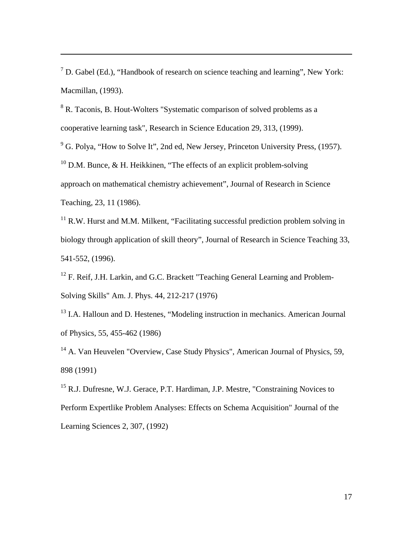$<sup>7</sup>$  D. Gabel (Ed.), "Handbook of research on science teaching and learning", New York:</sup> Macmillan, (1993).

<sup>8</sup> R. Taconis, B. Hout-Wolters "Systematic comparison of solved problems as a cooperative learning task", Research in Science Education 29, 313, (1999).

 $\overline{a}$ 

 $9^9$  G. Polya, "How to Solve It", 2nd ed, New Jersey, Princeton University Press, (1957). <sup>10</sup> D.M. Bunce, & H. Heikkinen, "The effects of an explicit problem-solving approach on mathematical chemistry achievement", Journal of Research in Science Teaching, 23, 11 (1986).

 $11$  R.W. Hurst and M.M. Milkent, "Facilitating successful prediction problem solving in biology through application of skill theory", Journal of Research in Science Teaching 33, 541-552, (1996).

<sup>12</sup> F. Reif, J.H. Larkin, and G.C. Brackett "Teaching General Learning and Problem-Solving Skills" Am. J. Phys. 44, 212-217 (1976)

<sup>13</sup> I.A. Halloun and D. Hestenes, "Modeling instruction in mechanics. American Journal of Physics, 55, 455-462 (1986)

<sup>14</sup> A. Van Heuvelen "Overview, Case Study Physics", American Journal of Physics, 59, 898 (1991)

<sup>15</sup> R.J. Dufresne, W.J. Gerace, P.T. Hardiman, J.P. Mestre, "Constraining Novices to Perform Expertlike Problem Analyses: Effects on Schema Acquisition" Journal of the Learning Sciences 2, 307, (1992)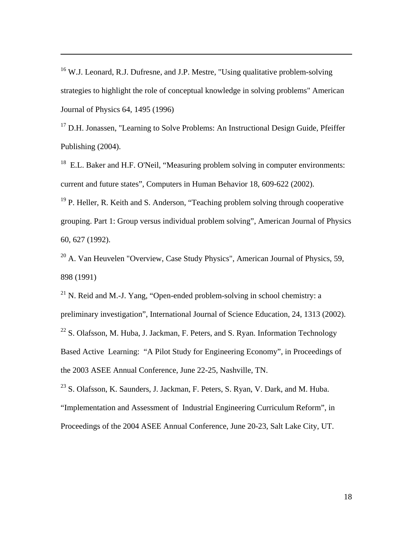<sup>16</sup> W.J. Leonard, R.J. Dufresne, and J.P. Mestre, "Using qualitative problem-solving strategies to highlight the role of conceptual knowledge in solving problems" American Journal of Physics 64, 1495 (1996)

 $\overline{a}$ 

 $17$  D.H. Jonassen, "Learning to Solve Problems: An Instructional Design Guide, Pfeiffer Publishing (2004).

<sup>18</sup> E.L. Baker and H.F. O'Neil, "Measuring problem solving in computer environments: current and future states", Computers in Human Behavior 18, 609-622 (2002).

 $19$  P. Heller, R. Keith and S. Anderson, "Teaching problem solving through cooperative grouping. Part 1: Group versus individual problem solving", American Journal of Physics 60, 627 (1992).

 $20$  A. Van Heuvelen "Overview, Case Study Physics", American Journal of Physics, 59, 898 (1991)

 $^{21}$  N. Reid and M.-J. Yang, "Open-ended problem-solving in school chemistry: a preliminary investigation", International Journal of Science Education, 24, 1313 (2002).  $22$  S. Olafsson, M. Huba, J. Jackman, F. Peters, and S. Ryan. Information Technology Based Active Learning: "A Pilot Study for Engineering Economy", in Proceedings of the 2003 ASEE Annual Conference, June 22-25, Nashville, TN.

<sup>23</sup> S. Olafsson, K. Saunders, J. Jackman, F. Peters, S. Ryan, V. Dark, and M. Huba. "Implementation and Assessment of Industrial Engineering Curriculum Reform", in Proceedings of the 2004 ASEE Annual Conference, June 20-23, Salt Lake City, UT.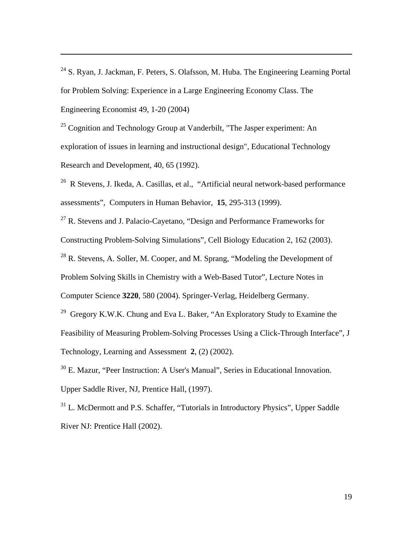$24$  S. Ryan, J. Jackman, F. Peters, S. Olafsson, M. Huba. The Engineering Learning Portal for Problem Solving: Experience in a Large Engineering Economy Class. The Engineering Economist 49, 1-20 (2004)

 $\overline{a}$ 

<sup>25</sup> Cognition and Technology Group at Vanderbilt. "The Jasper experiment: An exploration of issues in learning and instructional design", Educational Technology Research and Development, 40, 65 (1992).

26 R Stevens, J. Ikeda, A. Casillas, et al., "Artificial neural network-based performance assessments", Computers in Human Behavior, **15**, 295-313 (1999).

 $27$  R. Stevens and J. Palacio-Cavetano, "Design and Performance Frameworks for

Constructing Problem-Solving Simulations", Cell Biology Education 2, 162 (2003).

 $^{28}$  R. Stevens, A. Soller, M. Cooper, and M. Sprang, "Modeling the Development of

Problem Solving Skills in Chemistry with a Web-Based Tutor", Lecture Notes in

Computer Science **3220**, 580 (2004). Springer-Verlag, Heidelberg Germany.

<sup>29</sup> Gregory K.W.K. Chung and Eva L. Baker, "An Exploratory Study to Examine the Feasibility of Measuring Problem-Solving Processes Using a Click-Through Interface", J Technology, Learning and Assessment **2**, (2) (2002).

30 E. Mazur, "Peer Instruction: A User's Manual", Series in Educational Innovation. Upper Saddle River, NJ, Prentice Hall, (1997).

<sup>31</sup> L. McDermott and P.S. Schaffer, "Tutorials in Introductory Physics", Upper Saddle River NJ: Prentice Hall (2002).